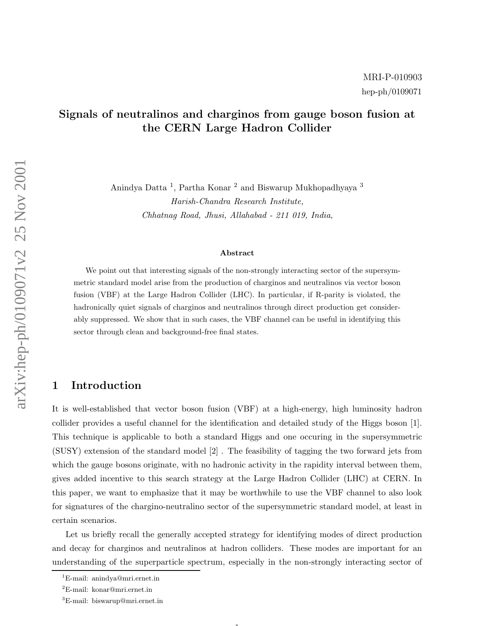# Signals of neutralinos and charginos from gauge boson fusion at the CERN Large Hadron Collider

Anindya Datta<sup>1</sup>, Partha Konar<sup>2</sup> and Biswarup Mukhopadhyaya<sup>3</sup> Harish-Chandra Research Institute, Chhatnag Road, Jhusi, Allahabad - 211 019, India ,

#### Abstract

We point out that interesting signals of the non-strongly interacting sector of the supersymmetric standard model arise from the production of charginos and neutralinos via vector boson fusion (VBF) at the Large Hadron Collider (LHC). In particular, if R-parity is violated, the hadronically quiet signals of charginos and neutralinos through direct production get considerably suppressed. We show that in such cases, the VBF channel can be useful in identifying this sector through clean and background-free final states.

### 1 Introduction

It is well-established that vector boson fusion (VBF) at a high-energy, high luminosity hadron collider provides a useful channel for the identification and detailed study of the Higgs boson [1]. This technique is applicable to both a standard Higgs and one occuring in the supersymmetric (SUSY) extension of the standard model [2] . The feasibility of tagging the two forward jets from which the gauge bosons originate, with no hadronic activity in the rapidity interval between them, gives added incentive to this search strategy at the Large Hadron Collider (LHC) at CERN. In this paper, we want to emphasize that it may be worthwhile to use the VBF channel to also look for signatures of the chargino-neutralino sector of the supersymmetric standard model, at least in certain scenarios.

Let us briefly recall the generally accepted strategy for identifying modes of direct production and decay for charginos and neutralinos at hadron colliders. These modes are important for an understanding of the superparticle spectrum, especially in the non-strongly interacting sector of

 $\mathbf{1}$ 

<sup>1</sup>E-mail: anindya@mri.ernet.in

<sup>2</sup>E-mail: konar@mri.ernet.in

<sup>3</sup>E-mail: biswarup@mri.ernet.in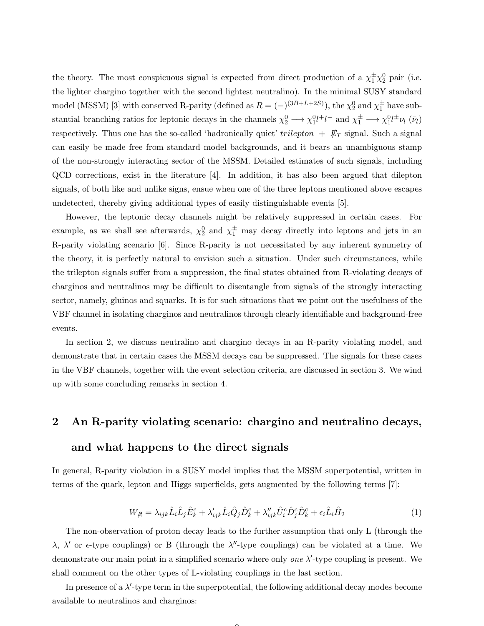the theory. The most conspicuous signal is expected from direct production of a  $\chi_1^{\pm}\chi_2^0$  pair (i.e. the lighter chargino together with the second lightest neutralino). In the minimal SUSY standard model (MSSM) [3] with conserved R-parity (defined as  $R = (-)^{(3B+L+2S)}$ ), the  $\chi_2^0$  and  $\chi_1^{\pm}$  have substantial branching ratios for leptonic decays in the channels  $\chi_2^0 \to \chi_1^0 l^+ l^-$  and  $\chi_1^{\pm} \to \chi_1^0 l^{\pm} \nu_l$  ( $\bar{\nu}_l$ ) respectively. Thus one has the so-called 'hadronically quiet'  $trilepton + \not{E}_T$  signal. Such a signal can easily be made free from standard model backgrounds, and it bears an unambiguous stamp of the non-strongly interacting sector of the MSSM. Detailed estimates of such signals, including QCD corrections, exist in the literature [4]. In addition, it has also been argued that dilepton signals, of both like and unlike signs, ensue when one of the three leptons mentioned above escapes undetected, thereby giving additional types of easily distinguishable events [5].

However, the leptonic decay channels might be relatively suppressed in certain cases. For example, as we shall see afterwards,  $\chi_2^0$  and  $\chi_1^{\pm}$  may decay directly into leptons and jets in an R-parity violating scenario [6]. Since R-parity is not necessitated by any inherent symmetry of the theory, it is perfectly natural to envision such a situation. Under such circumstances, while the trilepton signals suffer from a suppression, the final states obtained from R-violating decays of charginos and neutralinos may be difficult to disentangle from signals of the strongly interacting sector, namely, gluinos and squarks. It is for such situations that we point out the usefulness of the VBF channel in isolating charginos and neutralinos through clearly identifiable and background-free events.

In section 2, we discuss neutralino and chargino decays in an R-parity violating model, and demonstrate that in certain cases the MSSM decays can be suppressed. The signals for these cases in the VBF channels, together with the event selection criteria, are discussed in section 3. We wind up with some concluding remarks in section 4.

# 2 An R-parity violating scenario: chargino and neutralino decays,

### and what happens to the direct signals

In general, R-parity violation in a SUSY model implies that the MSSM superpotential, written in terms of the quark, lepton and Higgs superfields, gets augmented by the following terms [7]:

$$
W_{\mathcal{R}} = \lambda_{ijk} \hat{L}_i \hat{L}_j \hat{E}_k^c + \lambda'_{ijk} \hat{L}_i \hat{Q}_j \hat{D}_k^c + \lambda''_{ijk} \hat{U}_i^c \hat{D}_j^c \hat{D}_k^c + \epsilon_i \hat{L}_i \hat{H}_2 \tag{1}
$$

The non-observation of proton decay leads to the further assumption that only L (through the  $\lambda$ ,  $\lambda'$  or  $\epsilon$ -type couplings) or B (through the  $\lambda''$ -type couplings) can be violated at a time. We demonstrate our main point in a simplified scenario where only one  $\lambda'$ -type coupling is present. We shall comment on the other types of L-violating couplings in the last section.

In presence of a  $\lambda'$ -type term in the superpotential, the following additional decay modes become available to neutralinos and charginos: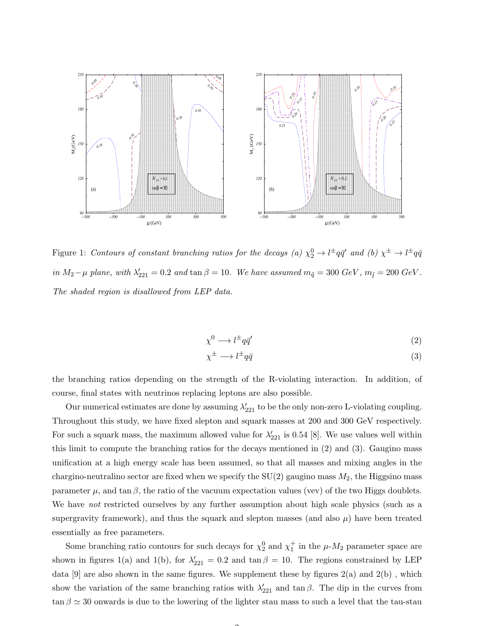

Figure 1: Contours of constant branching ratios for the decays (a)  $\chi_2^0 \to l^{\pm}q\bar{q}'$  and (b)  $\chi^{\pm} \to l^{\pm}q\bar{q}$ in  $M_2-\mu$  plane, with  $\lambda'_{221} = 0.2$  and  $\tan \beta = 10$ . We have assumed  $m_{\tilde{q}} = 300$  GeV,  $m_{\tilde{l}} = 200$  GeV. The shaded region is disallowed from LEP data.

$$
\chi^0 \longrightarrow l^{\pm} q \bar{q}' \tag{2}
$$

$$
\chi^{\pm} \longrightarrow l^{\pm} q \bar{q} \tag{3}
$$

the branching ratios depending on the strength of the R-violating interaction. In addition, of course, final states with neutrinos replacing leptons are also possible.

Our numerical estimates are done by assuming  $\lambda'_{221}$  to be the only non-zero L-violating coupling. Throughout this study, we have fixed slepton and squark masses at 200 and 300 GeV respectively. For such a squark mass, the maximum allowed value for  $\lambda'_{221}$  is 0.54 [8]. We use values well within this limit to compute the branching ratios for the decays mentioned in (2) and (3). Gaugino mass unification at a high energy scale has been assumed, so that all masses and mixing angles in the chargino-neutralino sector are fixed when we specify the  $SU(2)$  gaugino mass  $M_2$ , the Higgsino mass parameter  $\mu$ , and tan  $\beta$ , the ratio of the vacuum expectation values (vev) of the two Higgs doublets. We have *not* restricted ourselves by any further assumption about high scale physics (such as a supergravity framework), and thus the squark and slepton masses (and also  $\mu$ ) have been treated essentially as free parameters.

Some branching ratio contours for such decays for  $\chi_2^0$  and  $\chi_1^+$  in the  $\mu$ - $M_2$  parameter space are shown in figures 1(a) and 1(b), for  $\lambda'_{221} = 0.2$  and  $\tan \beta = 10$ . The regions constrained by LEP data  $[9]$  are also shown in the same figures. We supplement these by figures  $2(a)$  and  $2(b)$ , which show the variation of the same branching ratios with  $\lambda'_{221}$  and tan  $\beta$ . The dip in the curves from  $\tan \beta \simeq 30$  onwards is due to the lowering of the lighter stau mass to such a level that the tau-stau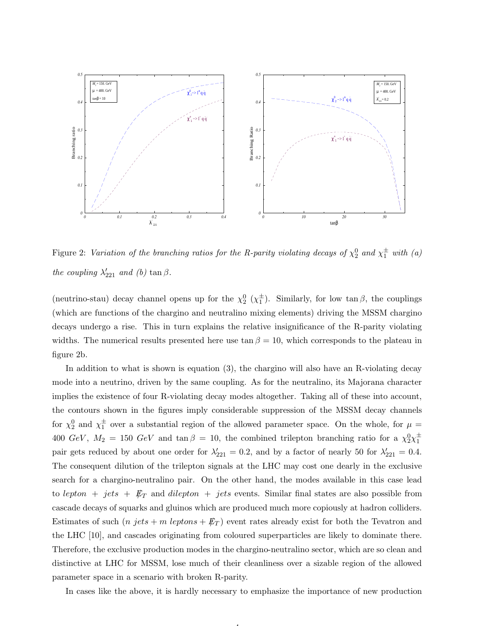

Figure 2: Variation of the branching ratios for the R-parity violating decays of  $\chi_2^0$  and  $\chi_1^{\pm}$  with (a) the coupling  $\lambda'_{221}$  and (b)  $\tan \beta$ .

(neutrino-stau) decay channel opens up for the  $\chi_2^0$  ( $\chi_1^{\pm}$ ). Similarly, for low tan  $\beta$ , the couplings (which are functions of the chargino and neutralino mixing elements) driving the MSSM chargino decays undergo a rise. This in turn explains the relative insignificance of the R-parity violating widths. The numerical results presented here use  $\tan \beta = 10$ , which corresponds to the plateau in figure 2b.

In addition to what is shown is equation (3), the chargino will also have an R-violating decay mode into a neutrino, driven by the same coupling. As for the neutralino, its Majorana character implies the existence of four R-violating decay modes altogether. Taking all of these into account, the contours shown in the figures imply considerable suppression of the MSSM decay channels for  $\chi_2^0$  and  $\chi_1^{\pm}$  over a substantial region of the allowed parameter space. On the whole, for  $\mu =$ 400  $GeV$ ,  $M_2 = 150 \text{ GeV}$  and  $\tan \beta = 10$ , the combined trilepton branching ratio for a  $\chi_2^0 \chi_1^{\pm}$ pair gets reduced by about one order for  $\lambda'_{221} = 0.2$ , and by a factor of nearly 50 for  $\lambda'_{221} = 0.4$ . The consequent dilution of the trilepton signals at the LHC may cost one dearly in the exclusive search for a chargino-neutralino pair. On the other hand, the modes available in this case lead to lepton + jets +  $E_T$  and dilepton + jets events. Similar final states are also possible from cascade decays of squarks and gluinos which are produced much more copiously at hadron colliders. Estimates of such  $(n \text{ jets} + m \text{ leptons} + \not\!\!E_T)$  event rates already exist for both the Tevatron and the LHC [10], and cascades originating from coloured superparticles are likely to dominate there. Therefore, the exclusive production modes in the chargino-neutralino sector, which are so clean and distinctive at LHC for MSSM, lose much of their cleanliness over a sizable region of the allowed parameter space in a scenario with broken R-parity.

In cases like the above, it is hardly necessary to emphasize the importance of new production

4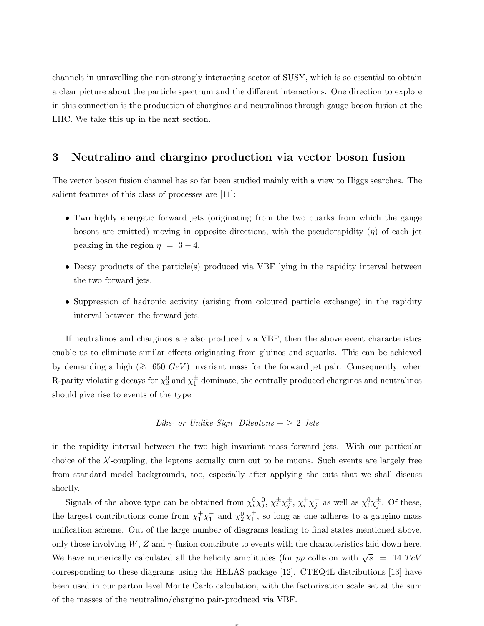channels in unravelling the non-strongly interacting sector of SUSY, which is so essential to obtain a clear picture about the particle spectrum and the different interactions. One direction to explore in this connection is the production of charginos and neutralinos through gauge boson fusion at the LHC. We take this up in the next section.

#### 3 Neutralino and chargino production via vector boson fusion

The vector boson fusion channel has so far been studied mainly with a view to Higgs searches. The salient features of this class of processes are [11]:

- Two highly energetic forward jets (originating from the two quarks from which the gauge bosons are emitted) moving in opposite directions, with the pseudorapidity  $(\eta)$  of each jet peaking in the region  $\eta = 3 - 4$ .
- Decay products of the particle(s) produced via VBF lying in the rapidity interval between the two forward jets.
- Suppression of hadronic activity (arising from coloured particle exchange) in the rapidity interval between the forward jets.

If neutralinos and charginos are also produced via VBF, then the above event characteristics enable us to eliminate similar effects originating from gluinos and squarks. This can be achieved by demanding a high ( $\gtrsim$  650 GeV) invariant mass for the forward jet pair. Consequently, when R-parity violating decays for  $\chi_2^0$  and  $\chi_1^{\pm}$  dominate, the centrally produced charginos and neutralinos should give rise to events of the type

## Like- or Unlike-Sign Dileptons  $+ \geq 2$  Jets

in the rapidity interval between the two high invariant mass forward jets. With our particular choice of the  $\lambda'$ -coupling, the leptons actually turn out to be muons. Such events are largely free from standard model backgrounds, too, especially after applying the cuts that we shall discuss shortly.

Signals of the above type can be obtained from  $\chi_i^0 \chi_j^0$ ,  $\chi_i^{\pm} \chi_j^{\pm}$ ,  $\chi_i^+ \chi_j^-$  as well as  $\chi_i^0 \chi_j^{\pm}$ . Of these, the largest contributions come from  $\chi_1^+\chi_1^-$  and  $\chi_2^0\chi_1^{\pm}$ , so long as one adheres to a gaugino mass unification scheme. Out of the large number of diagrams leading to final states mentioned above, only those involving  $W, Z$  and  $\gamma$ -fusion contribute to events with the characteristics laid down here. We have numerically calculated all the helicity amplitudes (for pp collision with  $\sqrt{s}$  = 14 TeV corresponding to these diagrams using the HELAS package [12]. CTEQ4L distributions [13] have been used in our parton level Monte Carlo calculation, with the factorization scale set at the sum of the masses of the neutralino/chargino pair-produced via VBF.

 $\overline{ }$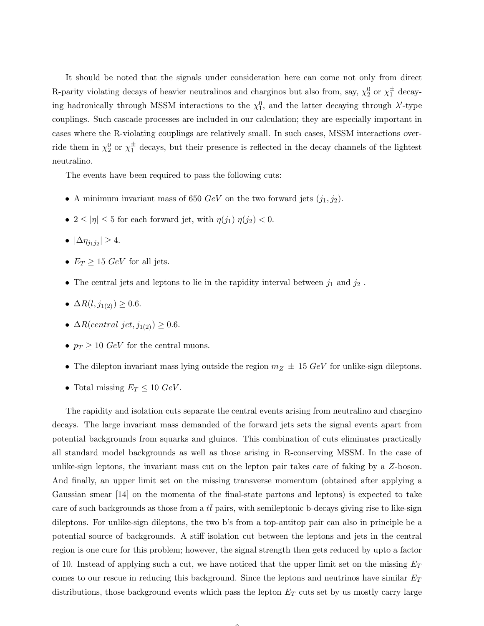It should be noted that the signals under consideration here can come not only from direct R-parity violating decays of heavier neutralinos and charginos but also from, say,  $\chi_2^0$  or  $\chi_1^{\pm}$  decaying hadronically through MSSM interactions to the  $\chi_1^0$ , and the latter decaying through  $\lambda'$ -type couplings. Such cascade processes are included in our calculation; they are especially important in cases where the R-violating couplings are relatively small. In such cases, MSSM interactions override them in  $\chi_2^0$  or  $\chi_1^{\pm}$  decays, but their presence is reflected in the decay channels of the lightest neutralino.

The events have been required to pass the following cuts:

- A minimum invariant mass of 650  $GeV$  on the two forward jets  $(j_1, j_2)$ .
- $2 \leq |\eta| \leq 5$  for each forward jet, with  $\eta(j_1)$   $\eta(j_2) < 0$ .
- $|\Delta \eta_{j_1j_2}| \geq 4.$
- $E_T \geq 15 \text{ GeV}$  for all jets.
- $\bullet\,$  The central jets and leptons to lie in the rapidity interval between  $j_1$  and  $j_2$  .
- $\Delta R(l, j_{1(2)}) \geq 0.6$ .
- $\Delta R(central\ jet, j_{1(2)}) \geq 0.6$ .
- $p_T \geq 10 \text{ GeV}$  for the central muons.
- The dilepton invariant mass lying outside the region  $m_Z \pm 15 \text{ GeV}$  for unlike-sign dileptons.
- Total missing  $E_T \leq 10 \text{ GeV}$ .

The rapidity and isolation cuts separate the central events arising from neutralino and chargino decays. The large invariant mass demanded of the forward jets sets the signal events apart from potential backgrounds from squarks and gluinos. This combination of cuts eliminates practically all standard model backgrounds as well as those arising in R-conserving MSSM. In the case of unlike-sign leptons, the invariant mass cut on the lepton pair takes care of faking by a Z-boson. And finally, an upper limit set on the missing transverse momentum (obtained after applying a Gaussian smear [14] on the momenta of the final-state partons and leptons) is expected to take care of such backgrounds as those from a  $tt$  pairs, with semileptonic b-decays giving rise to like-sign dileptons. For unlike-sign dileptons, the two b's from a top-antitop pair can also in principle be a potential source of backgrounds. A stiff isolation cut between the leptons and jets in the central region is one cure for this problem; however, the signal strength then gets reduced by upto a factor of 10. Instead of applying such a cut, we have noticed that the upper limit set on the missing  $E_T$ comes to our rescue in reducing this background. Since the leptons and neutrinos have similar  $E_T$ distributions, those background events which pass the lepton  $E_T$  cuts set by us mostly carry large

 $\sqrt{2}$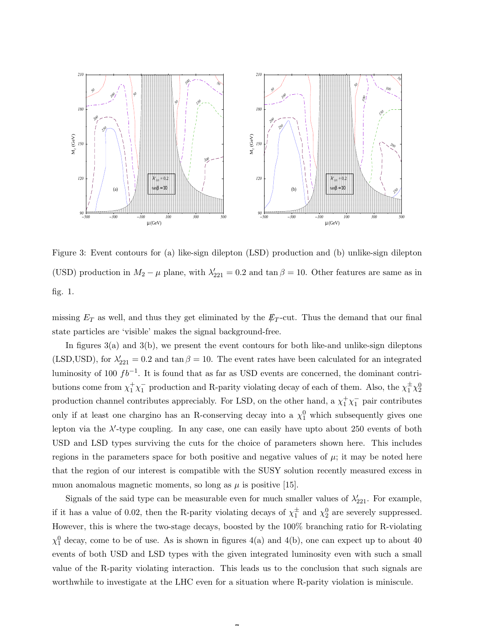

Figure 3: Event contours for (a) like-sign dilepton (LSD) production and (b) unlike-sign dilepton (USD) production in  $M_2 - \mu$  plane, with  $\lambda'_{221} = 0.2$  and  $\tan \beta = 10$ . Other features are same as in fig. 1.

missing  $E_T$  as well, and thus they get eliminated by the  $\not{E}_T$ -cut. Thus the demand that our final state particles are 'visible' makes the signal background-free.

In figures  $3(a)$  and  $3(b)$ , we present the event contours for both like-and unlike-sign dileptons (LSD,USD), for  $\lambda'_{221} = 0.2$  and  $\tan \beta = 10$ . The event rates have been calculated for an integrated luminosity of 100  $fb^{-1}$ . It is found that as far as USD events are concerned, the dominant contributions come from  $\chi_1^+\chi_1^-$  production and R-parity violating decay of each of them. Also, the  $\chi_1^{\pm}\chi_2^0$ production channel contributes appreciably. For LSD, on the other hand, a  $\chi_1^+\chi_1^-$  pair contributes only if at least one chargino has an R-conserving decay into a  $\chi_1^0$  which subsequently gives one lepton via the  $\lambda'$ -type coupling. In any case, one can easily have upto about 250 events of both USD and LSD types surviving the cuts for the choice of parameters shown here. This includes regions in the parameters space for both positive and negative values of  $\mu$ ; it may be noted here that the region of our interest is compatible with the SUSY solution recently measured excess in muon anomalous magnetic moments, so long as  $\mu$  is positive [15].

Signals of the said type can be measurable even for much smaller values of  $\lambda'_{221}$ . For example, if it has a value of 0.02, then the R-parity violating decays of  $\chi_1^{\pm}$  and  $\chi_2^0$  are severely suppressed. However, this is where the two-stage decays, boosted by the 100% branching ratio for R-violating  $\chi_1^0$  decay, come to be of use. As is shown in figures 4(a) and 4(b), one can expect up to about 40 events of both USD and LSD types with the given integrated luminosity even with such a small value of the R-parity violating interaction. This leads us to the conclusion that such signals are worthwhile to investigate at the LHC even for a situation where R-parity violation is miniscule.

 $\rightarrow$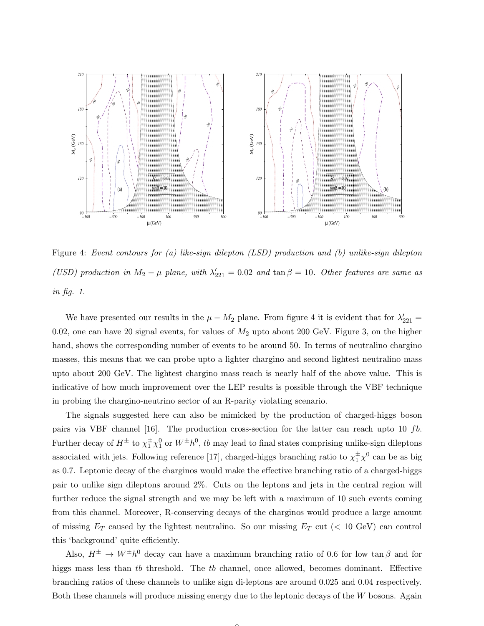

Figure 4: Event contours for (a) like-sign dilepton (LSD) production and (b) unlike-sign dilepton (USD) production in  $M_2 - \mu$  plane, with  $\lambda'_{221} = 0.02$  and  $\tan \beta = 10$ . Other features are same as in fig. 1.

We have presented our results in the  $\mu - M_2$  plane. From figure 4 it is evident that for  $\lambda'_{221} =$ 0.02, one can have 20 signal events, for values of  $M_2$  upto about 200 GeV. Figure 3, on the higher hand, shows the corresponding number of events to be around 50. In terms of neutralino chargino masses, this means that we can probe upto a lighter chargino and second lightest neutralino mass upto about 200 GeV. The lightest chargino mass reach is nearly half of the above value. This is indicative of how much improvement over the LEP results is possible through the VBF technique in probing the chargino-neutrino sector of an R-parity violating scenario.

The signals suggested here can also be mimicked by the production of charged-higgs boson pairs via VBF channel [16]. The production cross-section for the latter can reach upto 10  $fb$ . Further decay of  $H^{\pm}$  to  $\chi_1^{\pm}\chi_1^0$  or  $W^{\pm}h^0$ , to may lead to final states comprising unlike-sign dileptons associated with jets. Following reference [17], charged-higgs branching ratio to  $\chi_1^{\pm} \chi_0^0$  can be as big as 0.7. Leptonic decay of the charginos would make the effective branching ratio of a charged-higgs pair to unlike sign dileptons around 2%. Cuts on the leptons and jets in the central region will further reduce the signal strength and we may be left with a maximum of 10 such events coming from this channel. Moreover, R-conserving decays of the charginos would produce a large amount of missing  $E_T$  caused by the lightest neutralino. So our missing  $E_T$  cut (< 10 GeV) can control this 'background' quite efficiently.

Also,  $H^{\pm} \to W^{\pm} h^0$  decay can have a maximum branching ratio of 0.6 for low tan  $\beta$  and for higgs mass less than tb threshold. The tb channel, once allowed, becomes dominant. Effective branching ratios of these channels to unlike sign di-leptons are around 0.025 and 0.04 respectively. Both these channels will produce missing energy due to the leptonic decays of the W bosons. Again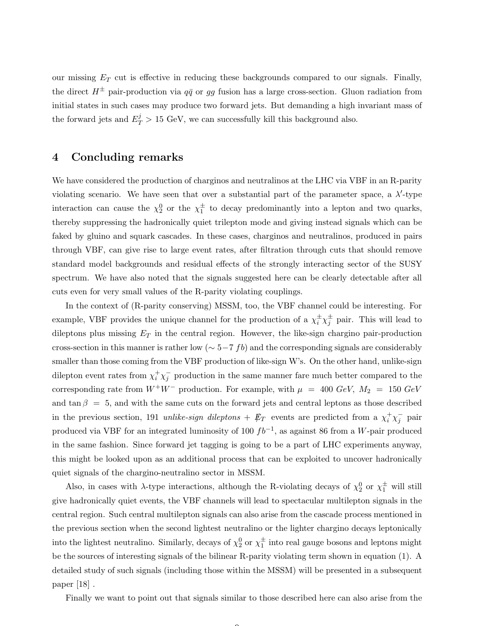our missing  $E_T$  cut is effective in reducing these backgrounds compared to our signals. Finally, the direct  $H^{\pm}$  pair-production via  $q\bar{q}$  or gg fusion has a large cross-section. Gluon radiation from initial states in such cases may produce two forward jets. But demanding a high invariant mass of the forward jets and  $E_T^j > 15$  GeV, we can successfully kill this background also.

#### 4 Concluding remarks

We have considered the production of charginos and neutralinos at the LHC via VBF in an R-parity violating scenario. We have seen that over a substantial part of the parameter space, a  $\lambda'$ -type interaction can cause the  $\chi_2^0$  or the  $\chi_1^{\pm}$  to decay predominantly into a lepton and two quarks, thereby suppressing the hadronically quiet trilepton mode and giving instead signals which can be faked by gluino and squark cascades. In these cases, charginos and neutralinos, produced in pairs through VBF, can give rise to large event rates, after filtration through cuts that should remove standard model backgrounds and residual effects of the strongly interacting sector of the SUSY spectrum. We have also noted that the signals suggested here can be clearly detectable after all cuts even for very small values of the R-parity violating couplings.

In the context of (R-parity conserving) MSSM, too, the VBF channel could be interesting. For example, VBF provides the unique channel for the production of a  $\chi_i^{\pm} \chi_j^{\pm}$  pair. This will lead to dileptons plus missing  $E_T$  in the central region. However, the like-sign chargino pair-production cross-section in this manner is rather low ( $\sim$  5−7 fb) and the corresponding signals are considerably smaller than those coming from the VBF production of like-sign W's. On the other hand, unlike-sign dilepton event rates from  $\chi_i^+ \chi_j^-$  production in the same manner fare much better compared to the corresponding rate from  $W^+W^-$  production. For example, with  $\mu = 400 \text{ GeV}, M_2 = 150 \text{ GeV}$ and tan  $\beta = 5$ , and with the same cuts on the forward jets and central leptons as those described in the previous section, 191 unlike-sign dileptons +  $\not\hspace{-1.2mm}E_T$  events are predicted from a  $\chi^+_i \chi^-_j$  pair produced via VBF for an integrated luminosity of 100  $fb^{-1}$ , as against 86 from a W-pair produced in the same fashion. Since forward jet tagging is going to be a part of LHC experiments anyway, this might be looked upon as an additional process that can be exploited to uncover hadronically quiet signals of the chargino-neutralino sector in MSSM.

Also, in cases with  $\lambda$ -type interactions, although the R-violating decays of  $\chi_2^0$  or  $\chi_1^{\pm}$  will still give hadronically quiet events, the VBF channels will lead to spectacular multilepton signals in the central region. Such central multilepton signals can also arise from the cascade process mentioned in the previous section when the second lightest neutralino or the lighter chargino decays leptonically into the lightest neutralino. Similarly, decays of  $\chi_2^0$  or  $\chi_1^{\pm}$  into real gauge bosons and leptons might be the sources of interesting signals of the bilinear R-parity violating term shown in equation (1). A detailed study of such signals (including those within the MSSM) will be presented in a subsequent paper [18] .

Finally we want to point out that signals similar to those described here can also arise from the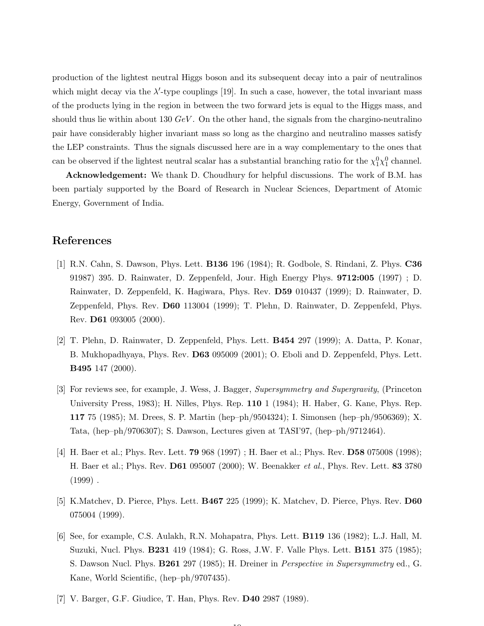production of the lightest neutral Higgs boson and its subsequent decay into a pair of neutralinos which might decay via the  $\lambda'$ -type couplings [19]. In such a case, however, the total invariant mass of the products lying in the region in between the two forward jets is equal to the Higgs mass, and should thus lie within about 130  $GeV$ . On the other hand, the signals from the chargino-neutralino pair have considerably higher invariant mass so long as the chargino and neutralino masses satisfy the LEP constraints. Thus the signals discussed here are in a way complementary to the ones that can be observed if the lightest neutral scalar has a substantial branching ratio for the  $\chi_1^0 \chi_1^0$  channel.

Acknowledgement: We thank D. Choudhury for helpful discussions. The work of B.M. has been partialy supported by the Board of Research in Nuclear Sciences, Department of Atomic Energy, Government of India.

### References

- [1] R.N. Cahn, S. Dawson, Phys. Lett. B136 196 (1984); R. Godbole, S. Rindani, Z. Phys. C36 91987) 395. D. Rainwater, D. Zeppenfeld, Jour. High Energy Phys. 9712:005 (1997) ; D. Rainwater, D. Zeppenfeld, K. Hagiwara, Phys. Rev. D59 010437 (1999); D. Rainwater, D. Zeppenfeld, Phys. Rev. D60 113004 (1999); T. Plehn, D. Rainwater, D. Zeppenfeld, Phys. Rev. D61 093005 (2000).
- [2] T. Plehn, D. Rainwater, D. Zeppenfeld, Phys. Lett. B454 297 (1999); A. Datta, P. Konar, B. Mukhopadhyaya, Phys. Rev. D63 095009 (2001); O. Eboli and D. Zeppenfeld, Phys. Lett. B495 147 (2000).
- [3] For reviews see, for example, J. Wess, J. Bagger, Supersymmetry and Supergravity, (Princeton University Press, 1983); H. Nilles, Phys. Rep. 110 1 (1984); H. Haber, G. Kane, Phys. Rep. 117 75 (1985); M. Drees, S. P. Martin (hep–ph/9504324); I. Simonsen (hep–ph/9506369); X. Tata, (hep–ph/9706307); S. Dawson, Lectures given at TASI'97, (hep–ph/9712464).
- [4] H. Baer et al.; Phys. Rev. Lett. 79 968 (1997) ; H. Baer et al.; Phys. Rev. D58 075008 (1998); H. Baer et al.; Phys. Rev. D61 095007 (2000); W. Beenakker et al., Phys. Rev. Lett. 83 3780  $(1999)$ .
- [5] K.Matchev, D. Pierce, Phys. Lett. B467 225 (1999); K. Matchev, D. Pierce, Phys. Rev. D60 075004 (1999).
- [6] See, for example, C.S. Aulakh, R.N. Mohapatra, Phys. Lett. B119 136 (1982); L.J. Hall, M. Suzuki, Nucl. Phys. B231 419 (1984); G. Ross, J.W. F. Valle Phys. Lett. B151 375 (1985); S. Dawson Nucl. Phys. B261 297 (1985); H. Dreiner in Perspective in Supersymmetry ed., G. Kane, World Scientific, (hep–ph/9707435).

 $\overline{10}$ 

[7] V. Barger, G.F. Giudice, T. Han, Phys. Rev. D40 2987 (1989).